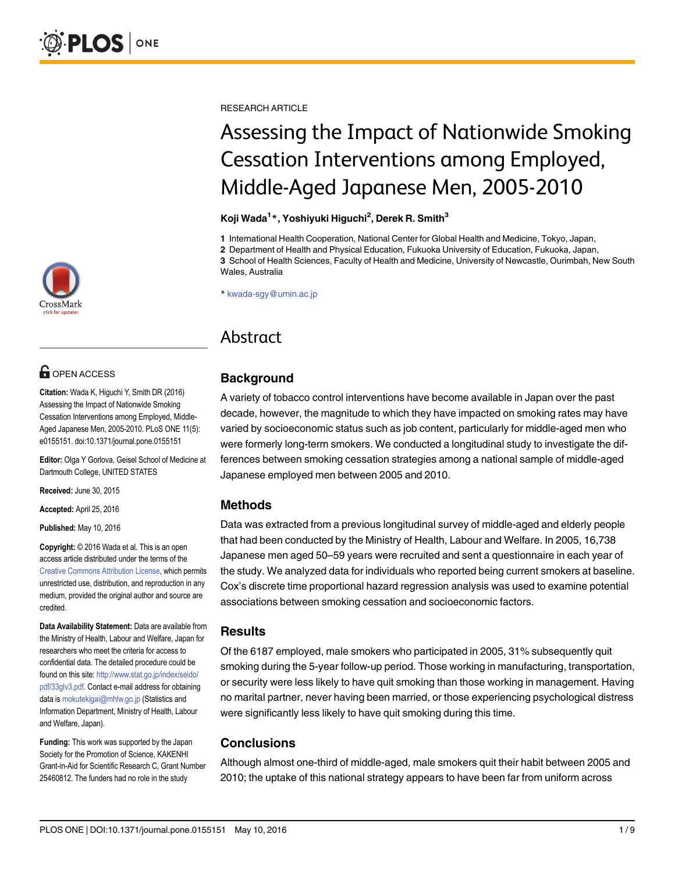

# **G** OPEN ACCESS

Citation: Wada K, Higuchi Y, Smith DR (2016) Assessing the Impact of Nationwide Smoking Cessation Interventions among Employed, Middle-Aged Japanese Men, 2005-2010. PLoS ONE 11(5): e0155151. doi:10.1371/journal.pone.0155151

Editor: Olga Y Gorlova, Geisel School of Medicine at Dartmouth College, UNITED STATES

Received: June 30, 2015

Accepted: April 25, 2016

Published: May 10, 2016

Copyright: © 2016 Wada et al. This is an open access article distributed under the terms of the [Creative Commons Attribution License,](http://creativecommons.org/licenses/by/4.0/) which permits unrestricted use, distribution, and reproduction in any medium, provided the original author and source are credited.

Data Availability Statement: Data are available from the Ministry of Health, Labour and Welfare, Japan for researchers who meet the criteria for access to confidential data. The detailed procedure could be found on this site: [http://www.stat.go.jp/index/seido/](http://www.stat.go.jp/index/seido/pdf/33glv3.pdf) [pdf/33glv3.pdf.](http://www.stat.go.jp/index/seido/pdf/33glv3.pdf) Contact e-mail address for obtaining data is mokutekigai@mhlw.go.jp (Statistics and Information Department, Ministry of Health, Labour and Welfare, Japan).

Funding: This work was supported by the Japan Society for the Promotion of Science, KAKENHI Grant-in-Aid for Scientific Research C, Grant Number 25460812. The funders had no role in the study

RESEARCH ARTICLE

# Assessing the Impact of Nationwide Smoking Cessation Interventions among Employed, Middle-Aged Japanese Men, 2005-2010

#### Koji Wada<sup>1</sup>\*, Yoshiyuki Higuchi<sup>2</sup>, Derek R. Smith<sup>3</sup>

1 International Health Cooperation, National Center for Global Health and Medicine, Tokyo, Japan,

2 Department of Health and Physical Education, Fukuoka University of Education, Fukuoka, Japan, 3 School of Health Sciences, Faculty of Health and Medicine, University of Newcastle, Ourimbah, New South Wales, Australia

\* kwada-sgy@umin.ac.jp

# Abstract

# **Background**

A variety of tobacco control interventions have become available in Japan over the past decade, however, the magnitude to which they have impacted on smoking rates may have varied by socioeconomic status such as job content, particularly for middle-aged men who were formerly long-term smokers. We conducted a longitudinal study to investigate the differences between smoking cessation strategies among a national sample of middle-aged Japanese employed men between 2005 and 2010.

# Methods

Data was extracted from a previous longitudinal survey of middle-aged and elderly people that had been conducted by the Ministry of Health, Labour and Welfare. In 2005, 16,738 Japanese men aged 50–59 years were recruited and sent a questionnaire in each year of the study. We analyzed data for individuals who reported being current smokers at baseline. Cox's discrete time proportional hazard regression analysis was used to examine potential associations between smoking cessation and socioeconomic factors.

#### **Results**

Of the 6187 employed, male smokers who participated in 2005, 31% subsequently quit smoking during the 5-year follow-up period. Those working in manufacturing, transportation, or security were less likely to have quit smoking than those working in management. Having no marital partner, never having been married, or those experiencing psychological distress were significantly less likely to have quit smoking during this time.

# **Conclusions**

Although almost one-third of middle-aged, male smokers quit their habit between 2005 and 2010; the uptake of this national strategy appears to have been far from uniform across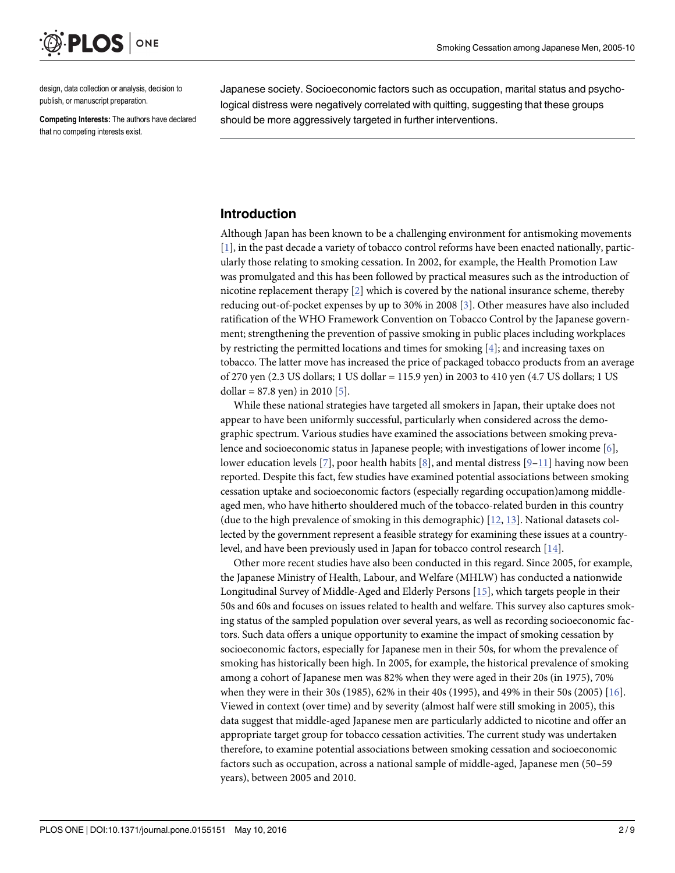<span id="page-1-0"></span>

design, data collection or analysis, decision to publish, or manuscript preparation.

Competing Interests: The authors have declared that no competing interests exist.

Japanese society. Socioeconomic factors such as occupation, marital status and psychological distress were negatively correlated with quitting, suggesting that these groups should be more aggressively targeted in further interventions.

### Introduction

Although Japan has been known to be a challenging environment for antismoking movements [\[1](#page-7-0)], in the past decade a variety of tobacco control reforms have been enacted nationally, particularly those relating to smoking cessation. In 2002, for example, the Health Promotion Law was promulgated and this has been followed by practical measures such as the introduction of nicotine replacement therapy [[2\]](#page-7-0) which is covered by the national insurance scheme, thereby reducing out-of-pocket expenses by up to 30% in 2008 [\[3](#page-7-0)]. Other measures have also included ratification of the WHO Framework Convention on Tobacco Control by the Japanese government; strengthening the prevention of passive smoking in public places including workplaces by restricting the permitted locations and times for smoking [\[4](#page-7-0)]; and increasing taxes on tobacco. The latter move has increased the price of packaged tobacco products from an average of 270 yen (2.3 US dollars; 1 US dollar = 115.9 yen) in 2003 to 410 yen (4.7 US dollars; 1 US dollar =  $87.8$  yen) in 2010 [\[5\]](#page-7-0).

While these national strategies have targeted all smokers in Japan, their uptake does not appear to have been uniformly successful, particularly when considered across the demographic spectrum. Various studies have examined the associations between smoking prevalence and socioeconomic status in Japanese people; with investigations of lower income [\[6](#page-7-0)], lower education levels [[7\]](#page-7-0), poor health habits [\[8\]](#page-7-0), and mental distress [\[9](#page-7-0)–[11\]](#page-8-0) having now been reported. Despite this fact, few studies have examined potential associations between smoking cessation uptake and socioeconomic factors (especially regarding occupation)among middleaged men, who have hitherto shouldered much of the tobacco-related burden in this country (due to the high prevalence of smoking in this demographic)  $[12, 13]$  $[12, 13]$  $[12, 13]$ . National datasets collected by the government represent a feasible strategy for examining these issues at a countrylevel, and have been previously used in Japan for tobacco control research [[14](#page-8-0)].

Other more recent studies have also been conducted in this regard. Since 2005, for example, the Japanese Ministry of Health, Labour, and Welfare (MHLW) has conducted a nationwide Longitudinal Survey of Middle-Aged and Elderly Persons [\[15\]](#page-8-0), which targets people in their 50s and 60s and focuses on issues related to health and welfare. This survey also captures smoking status of the sampled population over several years, as well as recording socioeconomic factors. Such data offers a unique opportunity to examine the impact of smoking cessation by socioeconomic factors, especially for Japanese men in their 50s, for whom the prevalence of smoking has historically been high. In 2005, for example, the historical prevalence of smoking among a cohort of Japanese men was 82% when they were aged in their 20s (in 1975), 70% when they were in their 30s (1985), 62% in their 40s (1995), and 49% in their 50s (2005)  $[16]$  $[16]$ . Viewed in context (over time) and by severity (almost half were still smoking in 2005), this data suggest that middle-aged Japanese men are particularly addicted to nicotine and offer an appropriate target group for tobacco cessation activities. The current study was undertaken therefore, to examine potential associations between smoking cessation and socioeconomic factors such as occupation, across a national sample of middle-aged, Japanese men (50–59 years), between 2005 and 2010.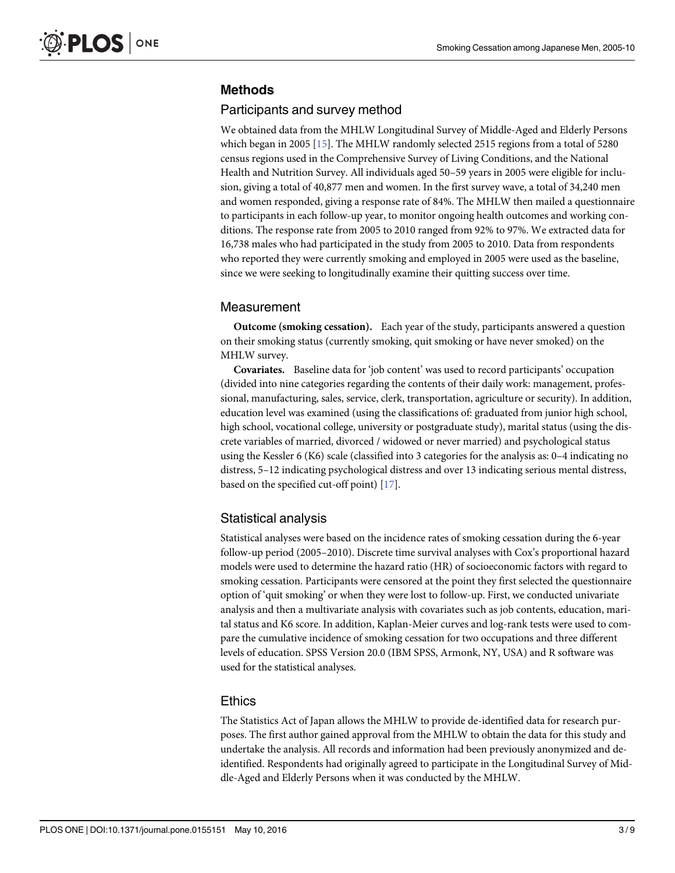# <span id="page-2-0"></span>Methods

#### Participants and survey method

We obtained data from the MHLW Longitudinal Survey of Middle-Aged and Elderly Persons which began in 2005 [\[15\]](#page-8-0). The MHLW randomly selected 2515 regions from a total of 5280 census regions used in the Comprehensive Survey of Living Conditions, and the National Health and Nutrition Survey. All individuals aged 50–59 years in 2005 were eligible for inclusion, giving a total of 40,877 men and women. In the first survey wave, a total of 34,240 men and women responded, giving a response rate of 84%. The MHLW then mailed a questionnaire to participants in each follow-up year, to monitor ongoing health outcomes and working conditions. The response rate from 2005 to 2010 ranged from 92% to 97%. We extracted data for 16,738 males who had participated in the study from 2005 to 2010. Data from respondents who reported they were currently smoking and employed in 2005 were used as the baseline, since we were seeking to longitudinally examine their quitting success over time.

#### Measurement

Outcome (smoking cessation). Each year of the study, participants answered a question on their smoking status (currently smoking, quit smoking or have never smoked) on the MHLW survey.

Covariates. Baseline data for 'job content' was used to record participants' occupation (divided into nine categories regarding the contents of their daily work: management, professional, manufacturing, sales, service, clerk, transportation, agriculture or security). In addition, education level was examined (using the classifications of: graduated from junior high school, high school, vocational college, university or postgraduate study), marital status (using the discrete variables of married, divorced / widowed or never married) and psychological status using the Kessler 6 (K6) scale (classified into 3 categories for the analysis as: 0–4 indicating no distress, 5–12 indicating psychological distress and over 13 indicating serious mental distress, based on the specified cut-off point) [\[17\]](#page-8-0).

#### Statistical analysis

Statistical analyses were based on the incidence rates of smoking cessation during the 6-year follow-up period (2005–2010). Discrete time survival analyses with Cox's proportional hazard models were used to determine the hazard ratio (HR) of socioeconomic factors with regard to smoking cessation. Participants were censored at the point they first selected the questionnaire option of 'quit smoking' or when they were lost to follow-up. First, we conducted univariate analysis and then a multivariate analysis with covariates such as job contents, education, marital status and K6 score. In addition, Kaplan-Meier curves and log-rank tests were used to compare the cumulative incidence of smoking cessation for two occupations and three different levels of education. SPSS Version 20.0 (IBM SPSS, Armonk, NY, USA) and R software was used for the statistical analyses.

#### Ethics

The Statistics Act of Japan allows the MHLW to provide de-identified data for research purposes. The first author gained approval from the MHLW to obtain the data for this study and undertake the analysis. All records and information had been previously anonymized and deidentified. Respondents had originally agreed to participate in the Longitudinal Survey of Middle-Aged and Elderly Persons when it was conducted by the MHLW.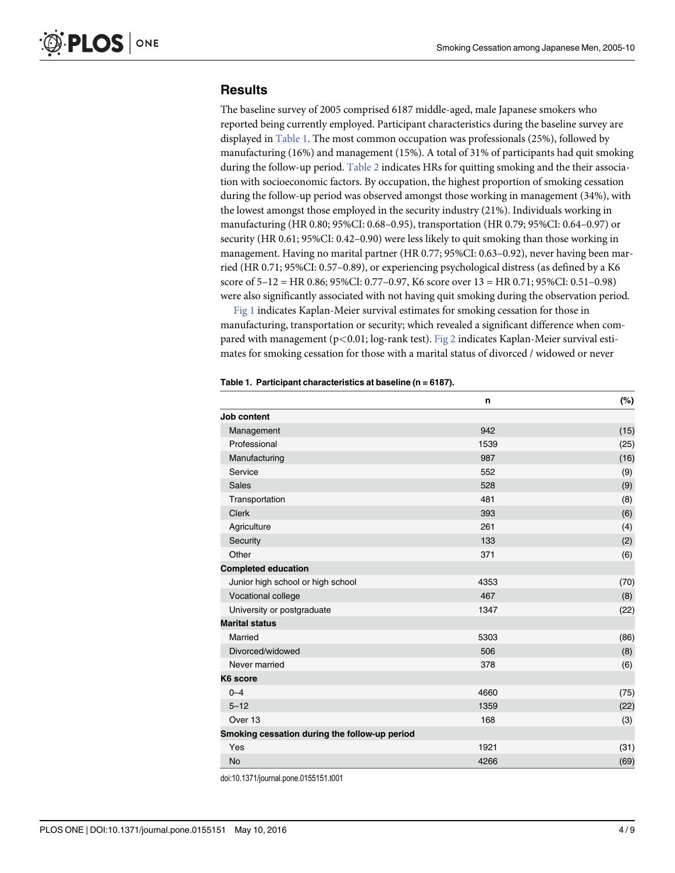## <span id="page-3-0"></span>**Results**

The baseline survey of 2005 comprised 6187 middle-aged, male Japanese smokers who reported being currently employed. Participant characteristics during the baseline survey are displayed in Table 1. The most common occupation was professionals (25%), followed by manufacturing (16%) and management (15%). A total of 31% of participants had quit smoking during the follow-up period. [Table 2](#page-4-0) indicates HRs for quitting smoking and the their association with socioeconomic factors. By occupation, the highest proportion of smoking cessation during the follow-up period was observed amongst those working in management (34%), with the lowest amongst those employed in the security industry (21%). Individuals working in manufacturing (HR 0.80; 95%CI: 0.68–0.95), transportation (HR 0.79; 95%CI: 0.64–0.97) or security (HR 0.61; 95%CI: 0.42–0.90) were less likely to quit smoking than those working in management. Having no marital partner (HR 0.77; 95%CI: 0.63–0.92), never having been married (HR 0.71; 95%CI: 0.57–0.89), or experiencing psychological distress (as defined by a K6 score of 5–12 = HR 0.86; 95%CI: 0.77–0.97, K6 score over 13 = HR 0.71; 95%CI: 0.51–0.98) were also significantly associated with not having quit smoking during the observation period.

[Fig 1](#page-5-0) indicates Kaplan-Meier survival estimates for smoking cessation for those in manufacturing, transportation or security; which revealed a significant difference when compared with management (p<0.01; log-rank test). [Fig 2](#page-6-0) indicates Kaplan-Meier survival estimates for smoking cessation for those with a marital status of divorced / widowed or never

|                                               | $\mathsf{n}$ | $(\%)$ |
|-----------------------------------------------|--------------|--------|
| Job content                                   |              |        |
| Management                                    | 942          | (15)   |
| Professional                                  | 1539         | (25)   |
| Manufacturing                                 | 987          | (16)   |
| Service                                       | 552          | (9)    |
| Sales                                         | 528          | (9)    |
| Transportation                                | 481          | (8)    |
| Clerk                                         | 393          | (6)    |
| Agriculture                                   | 261          | (4)    |
| Security                                      | 133          | (2)    |
| Other                                         | 371          | (6)    |
| <b>Completed education</b>                    |              |        |
| Junior high school or high school             | 4353         | (70)   |
| Vocational college                            | 467          | (8)    |
| University or postgraduate                    | 1347         | (22)   |
| <b>Marital status</b>                         |              |        |
| Married                                       | 5303         | (86)   |
| Divorced/widowed                              | 506          | (8)    |
| Never married                                 | 378          | (6)    |
| K6 score                                      |              |        |
| $0 - 4$                                       | 4660         | (75)   |
| $5 - 12$                                      | 1359         | (22)   |
| Over 13                                       | 168          | (3)    |
| Smoking cessation during the follow-up period |              |        |
| Yes                                           | 1921         | (31)   |
| <b>No</b>                                     | 4266         | (69)   |

#### Table 1. Participant characteristics at baseline (n = 6187).

doi:10.1371/journal.pone.0155151.t001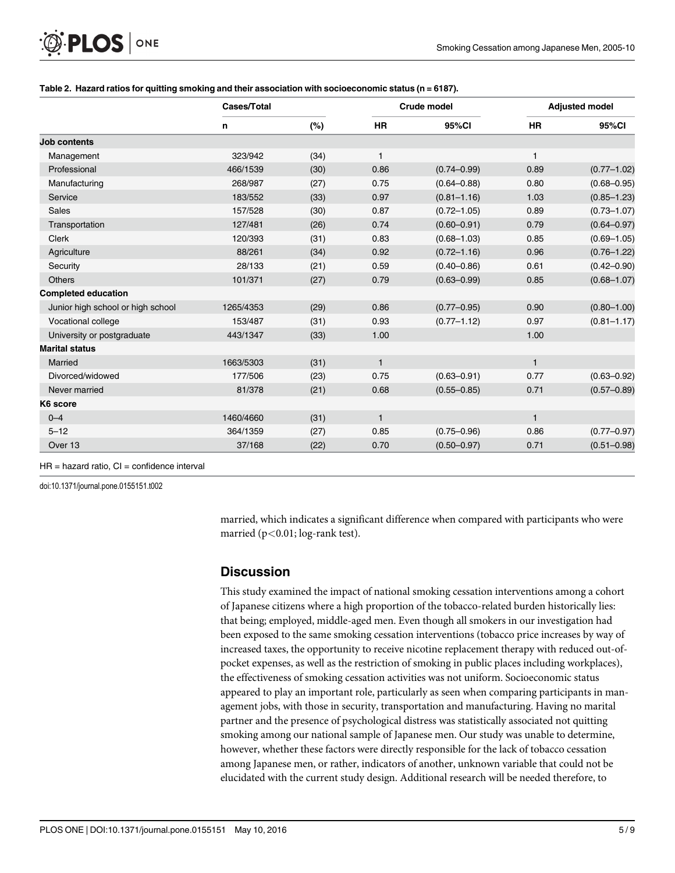<span id="page-4-0"></span>

| O PLOS ONE |  |
|------------|--|
|------------|--|

|                                   | Cases/Total |      |              | Crude model     |              | <b>Adjusted model</b> |  |
|-----------------------------------|-------------|------|--------------|-----------------|--------------|-----------------------|--|
|                                   | n           | (%)  | <b>HR</b>    | 95%CI           | <b>HR</b>    | 95%CI                 |  |
| <b>Job contents</b>               |             |      |              |                 |              |                       |  |
| Management                        | 323/942     | (34) | $\mathbf{1}$ |                 | 1            |                       |  |
| Professional                      | 466/1539    | (30) | 0.86         | $(0.74 - 0.99)$ | 0.89         | $(0.77 - 1.02)$       |  |
| Manufacturing                     | 268/987     | (27) | 0.75         | $(0.64 - 0.88)$ | 0.80         | $(0.68 - 0.95)$       |  |
| Service                           | 183/552     | (33) | 0.97         | $(0.81 - 1.16)$ | 1.03         | $(0.85 - 1.23)$       |  |
| <b>Sales</b>                      | 157/528     | (30) | 0.87         | $(0.72 - 1.05)$ | 0.89         | $(0.73 - 1.07)$       |  |
| Transportation                    | 127/481     | (26) | 0.74         | $(0.60 - 0.91)$ | 0.79         | $(0.64 - 0.97)$       |  |
| <b>Clerk</b>                      | 120/393     | (31) | 0.83         | $(0.68 - 1.03)$ | 0.85         | $(0.69 - 1.05)$       |  |
| Agriculture                       | 88/261      | (34) | 0.92         | $(0.72 - 1.16)$ | 0.96         | $(0.76 - 1.22)$       |  |
| Security                          | 28/133      | (21) | 0.59         | $(0.40 - 0.86)$ | 0.61         | $(0.42 - 0.90)$       |  |
| <b>Others</b>                     | 101/371     | (27) | 0.79         | $(0.63 - 0.99)$ | 0.85         | $(0.68 - 1.07)$       |  |
| <b>Completed education</b>        |             |      |              |                 |              |                       |  |
| Junior high school or high school | 1265/4353   | (29) | 0.86         | $(0.77 - 0.95)$ | 0.90         | $(0.80 - 1.00)$       |  |
| Vocational college                | 153/487     | (31) | 0.93         | $(0.77 - 1.12)$ | 0.97         | $(0.81 - 1.17)$       |  |
| University or postgraduate        | 443/1347    | (33) | 1.00         |                 | 1.00         |                       |  |
| <b>Marital status</b>             |             |      |              |                 |              |                       |  |
| Married                           | 1663/5303   | (31) | $\mathbf{1}$ |                 | $\mathbf{1}$ |                       |  |
| Divorced/widowed                  | 177/506     | (23) | 0.75         | $(0.63 - 0.91)$ | 0.77         | $(0.63 - 0.92)$       |  |
| Never married                     | 81/378      | (21) | 0.68         | $(0.55 - 0.85)$ | 0.71         | $(0.57 - 0.89)$       |  |
| K6 score                          |             |      |              |                 |              |                       |  |
| $0 - 4$                           | 1460/4660   | (31) | $\mathbf{1}$ |                 | $\mathbf{1}$ |                       |  |
| $5 - 12$                          | 364/1359    | (27) | 0.85         | $(0.75 - 0.96)$ | 0.86         | $(0.77 - 0.97)$       |  |
| Over 13                           | 37/168      | (22) | 0.70         | $(0.50 - 0.97)$ | 0.71         | $(0.51 - 0.98)$       |  |

#### [Table 2.](#page-3-0) Hazard ratios for quitting smoking and their association with socioeconomic status ( $n = 6187$ ).

 $HR = hazard ratio, CI = confidence interval$ 

doi:10.1371/journal.pone.0155151.t002

married, which indicates a significant difference when compared with participants who were married (p<0.01; log-rank test).

# **Discussion**

This study examined the impact of national smoking cessation interventions among a cohort of Japanese citizens where a high proportion of the tobacco-related burden historically lies: that being; employed, middle-aged men. Even though all smokers in our investigation had been exposed to the same smoking cessation interventions (tobacco price increases by way of increased taxes, the opportunity to receive nicotine replacement therapy with reduced out-ofpocket expenses, as well as the restriction of smoking in public places including workplaces), the effectiveness of smoking cessation activities was not uniform. Socioeconomic status appeared to play an important role, particularly as seen when comparing participants in management jobs, with those in security, transportation and manufacturing. Having no marital partner and the presence of psychological distress was statistically associated not quitting smoking among our national sample of Japanese men. Our study was unable to determine, however, whether these factors were directly responsible for the lack of tobacco cessation among Japanese men, or rather, indicators of another, unknown variable that could not be elucidated with the current study design. Additional research will be needed therefore, to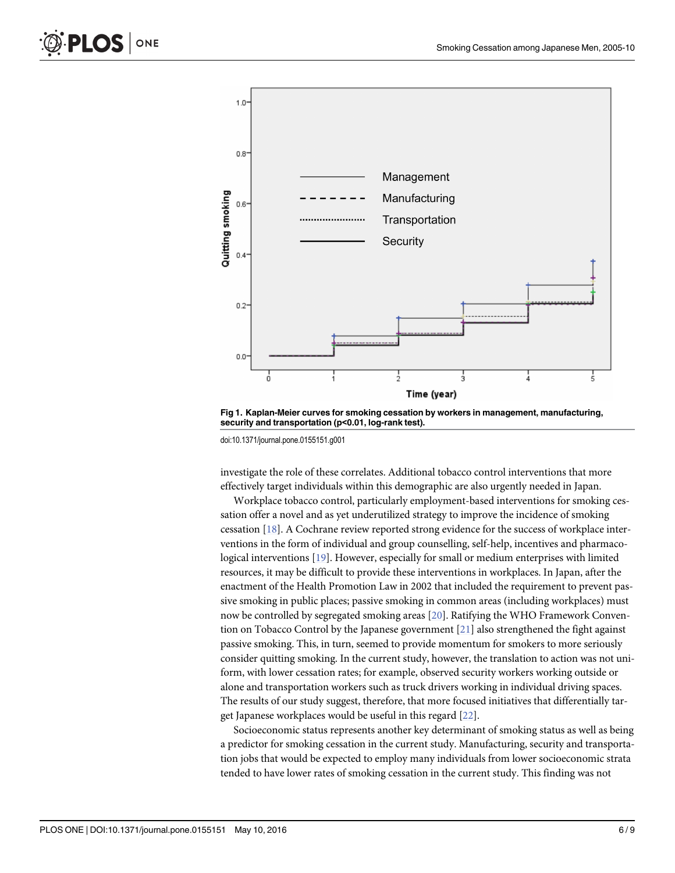<span id="page-5-0"></span>



[Fig 1. K](#page-3-0)aplan-Meier curves for smoking cessation by workers in management, manufacturing, security and transportation (p<0.01, log-rank test).

doi:10.1371/journal.pone.0155151.g001

investigate the role of these correlates. Additional tobacco control interventions that more effectively target individuals within this demographic are also urgently needed in Japan.

Workplace tobacco control, particularly employment-based interventions for smoking cessation offer a novel and as yet underutilized strategy to improve the incidence of smoking cessation [[18](#page-8-0)]. A Cochrane review reported strong evidence for the success of workplace interventions in the form of individual and group counselling, self-help, incentives and pharmacological interventions [\[19\]](#page-8-0). However, especially for small or medium enterprises with limited resources, it may be difficult to provide these interventions in workplaces. In Japan, after the enactment of the Health Promotion Law in 2002 that included the requirement to prevent passive smoking in public places; passive smoking in common areas (including workplaces) must now be controlled by segregated smoking areas [[20](#page-8-0)]. Ratifying the WHO Framework Convention on Tobacco Control by the Japanese government [\[21](#page-8-0)] also strengthened the fight against passive smoking. This, in turn, seemed to provide momentum for smokers to more seriously consider quitting smoking. In the current study, however, the translation to action was not uniform, with lower cessation rates; for example, observed security workers working outside or alone and transportation workers such as truck drivers working in individual driving spaces. The results of our study suggest, therefore, that more focused initiatives that differentially target Japanese workplaces would be useful in this regard [[22\]](#page-8-0).

Socioeconomic status represents another key determinant of smoking status as well as being a predictor for smoking cessation in the current study. Manufacturing, security and transportation jobs that would be expected to employ many individuals from lower socioeconomic strata tended to have lower rates of smoking cessation in the current study. This finding was not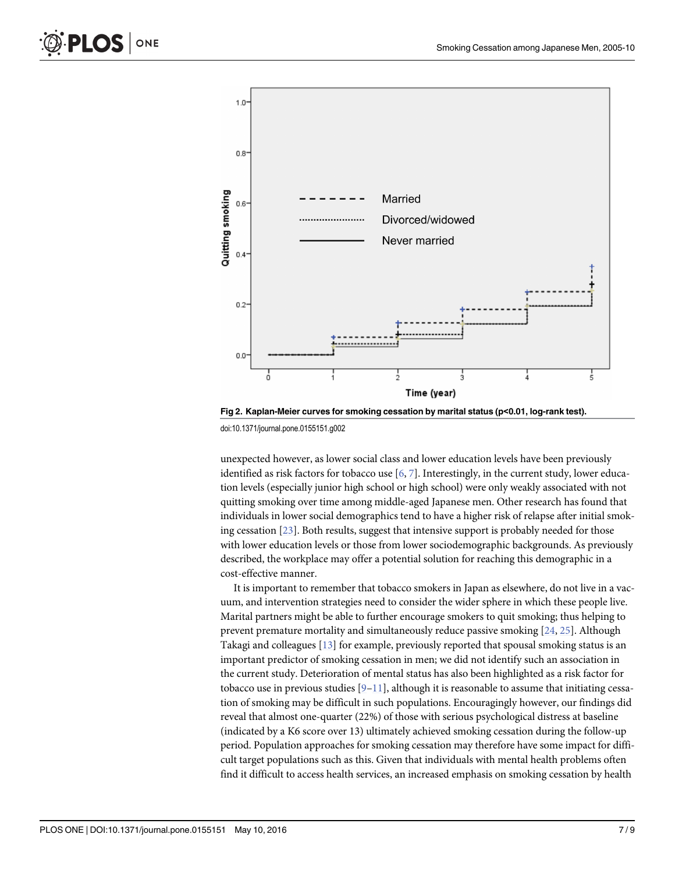<span id="page-6-0"></span>

[Fig 2. K](#page-3-0)aplan-Meier curves for smoking cessation by marital status (p<0.01, log-rank test).

doi:10.1371/journal.pone.0155151.g002

unexpected however, as lower social class and lower education levels have been previously identified as risk factors for tobacco use  $[6, 7]$  $[6, 7]$  $[6, 7]$  $[6, 7]$ . Interestingly, in the current study, lower education levels (especially junior high school or high school) were only weakly associated with not quitting smoking over time among middle-aged Japanese men. Other research has found that individuals in lower social demographics tend to have a higher risk of relapse after initial smoking cessation  $[23]$  $[23]$  $[23]$ . Both results, suggest that intensive support is probably needed for those with lower education levels or those from lower sociodemographic backgrounds. As previously described, the workplace may offer a potential solution for reaching this demographic in a cost-effective manner.

It is important to remember that tobacco smokers in Japan as elsewhere, do not live in a vacuum, and intervention strategies need to consider the wider sphere in which these people live. Marital partners might be able to further encourage smokers to quit smoking; thus helping to prevent premature mortality and simultaneously reduce passive smoking [[24,](#page-8-0) [25\]](#page-8-0). Although Takagi and colleagues [\[13](#page-8-0)] for example, previously reported that spousal smoking status is an important predictor of smoking cessation in men; we did not identify such an association in the current study. Deterioration of mental status has also been highlighted as a risk factor for tobacco use in previous studies  $[9-11]$  $[9-11]$  $[9-11]$  $[9-11]$  $[9-11]$ , although it is reasonable to assume that initiating cessation of smoking may be difficult in such populations. Encouragingly however, our findings did reveal that almost one-quarter (22%) of those with serious psychological distress at baseline (indicated by a K6 score over 13) ultimately achieved smoking cessation during the follow-up period. Population approaches for smoking cessation may therefore have some impact for difficult target populations such as this. Given that individuals with mental health problems often find it difficult to access health services, an increased emphasis on smoking cessation by health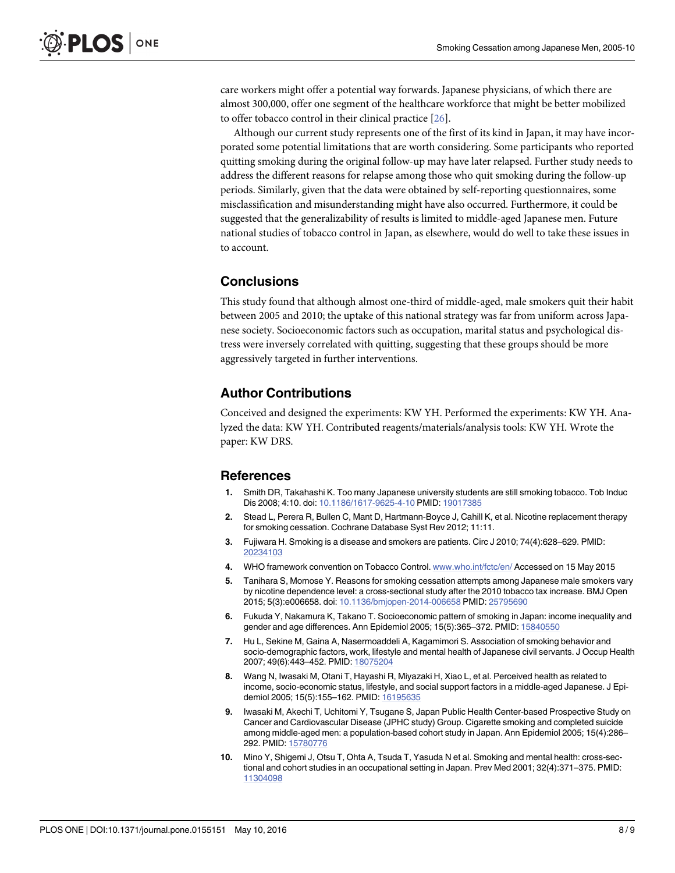<span id="page-7-0"></span>care workers might offer a potential way forwards. Japanese physicians, of which there are almost 300,000, offer one segment of the healthcare workforce that might be better mobilized to offer tobacco control in their clinical practice [[26](#page-8-0)].

Although our current study represents one of the first of its kind in Japan, it may have incorporated some potential limitations that are worth considering. Some participants who reported quitting smoking during the original follow-up may have later relapsed. Further study needs to address the different reasons for relapse among those who quit smoking during the follow-up periods. Similarly, given that the data were obtained by self-reporting questionnaires, some misclassification and misunderstanding might have also occurred. Furthermore, it could be suggested that the generalizability of results is limited to middle-aged Japanese men. Future national studies of tobacco control in Japan, as elsewhere, would do well to take these issues in to account.

# **Conclusions**

This study found that although almost one-third of middle-aged, male smokers quit their habit between 2005 and 2010; the uptake of this national strategy was far from uniform across Japanese society. Socioeconomic factors such as occupation, marital status and psychological distress were inversely correlated with quitting, suggesting that these groups should be more aggressively targeted in further interventions.

# Author Contributions

Conceived and designed the experiments: KW YH. Performed the experiments: KW YH. Analyzed the data: KW YH. Contributed reagents/materials/analysis tools: KW YH. Wrote the paper: KW DRS.

#### References

- [1.](#page-1-0) Smith DR, Takahashi K. Too many Japanese university students are still smoking tobacco. Tob Induc Dis 2008; 4:10. doi: [10.1186/1617-9625-4-10](http://dx.doi.org/10.1186/1617-9625-4-10) PMID: [19017385](http://www.ncbi.nlm.nih.gov/pubmed/19017385)
- [2.](#page-1-0) Stead L, Perera R, Bullen C, Mant D, Hartmann-Boyce J, Cahill K, et al. Nicotine replacement therapy for smoking cessation. Cochrane Database Syst Rev 2012; 11:11.
- [3.](#page-1-0) Fujiwara H. Smoking is a disease and smokers are patients. Circ J 2010; 74(4):628–629. PMID: [20234103](http://www.ncbi.nlm.nih.gov/pubmed/20234103)
- [4.](#page-1-0) WHO framework convention on Tobacco Control. [www.who.int/fctc/en/](http://www.who.int/fctc/en/) Accessed on 15 May 2015
- [5.](#page-1-0) Tanihara S, Momose Y. Reasons for smoking cessation attempts among Japanese male smokers vary by nicotine dependence level: a cross-sectional study after the 2010 tobacco tax increase. BMJ Open 2015; 5(3):e006658. doi: [10.1136/bmjopen-2014-006658](http://dx.doi.org/10.1136/bmjopen-2014-006658) PMID: [25795690](http://www.ncbi.nlm.nih.gov/pubmed/25795690)
- [6.](#page-1-0) Fukuda Y, Nakamura K, Takano T. Socioeconomic pattern of smoking in Japan: income inequality and gender and age differences. Ann Epidemiol 2005; 15(5):365–372. PMID: [15840550](http://www.ncbi.nlm.nih.gov/pubmed/15840550)
- [7.](#page-1-0) Hu L, Sekine M, Gaina A, Nasermoaddeli A, Kagamimori S. Association of smoking behavior and socio-demographic factors, work, lifestyle and mental health of Japanese civil servants. J Occup Health 2007; 49(6):443–452. PMID: [18075204](http://www.ncbi.nlm.nih.gov/pubmed/18075204)
- [8.](#page-1-0) Wang N, Iwasaki M, Otani T, Hayashi R, Miyazaki H, Xiao L, et al. Perceived health as related to income, socio-economic status, lifestyle, and social support factors in a middle-aged Japanese. J Epidemiol 2005; 15(5):155–162. PMID: [16195635](http://www.ncbi.nlm.nih.gov/pubmed/16195635)
- [9.](#page-1-0) Iwasaki M, Akechi T, Uchitomi Y, Tsugane S, Japan Public Health Center-based Prospective Study on Cancer and Cardiovascular Disease (JPHC study) Group. Cigarette smoking and completed suicide among middle-aged men: a population-based cohort study in Japan. Ann Epidemiol 2005; 15(4):286– 292. PMID: [15780776](http://www.ncbi.nlm.nih.gov/pubmed/15780776)
- 10. Mino Y, Shigemi J, Otsu T, Ohta A, Tsuda T, Yasuda N et al. Smoking and mental health: cross-sectional and cohort studies in an occupational setting in Japan. Prev Med 2001; 32(4):371–375. PMID: [11304098](http://www.ncbi.nlm.nih.gov/pubmed/11304098)